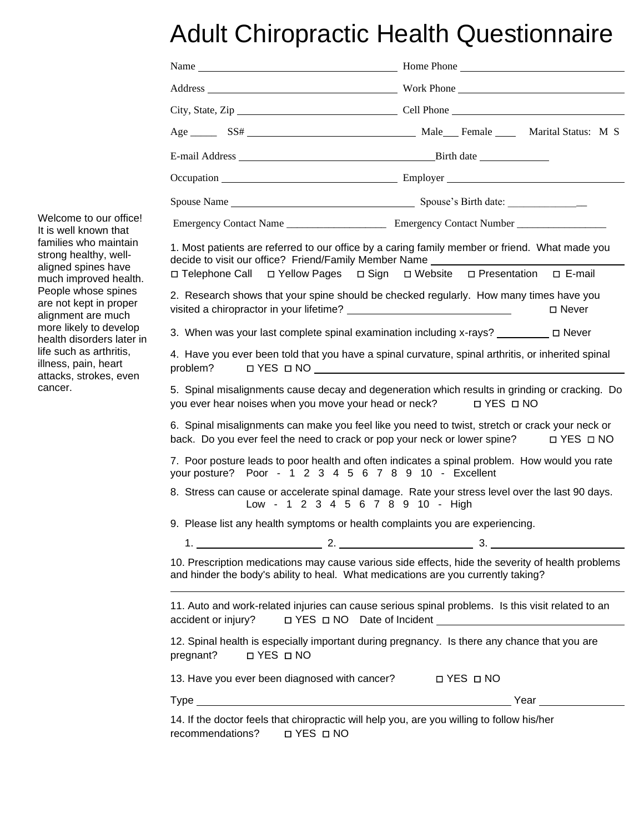## Adult Chiropractic Health Questionnaire

| 1. Most patients are referred to our office by a caring family member or friend. What made you<br>decide to visit our office? Friend/Family Member Name<br>□ Telephone Call □ Yellow Pages □ Sign □ Website □ Presentation □ E-mail                                                                                                       |  |  |
|-------------------------------------------------------------------------------------------------------------------------------------------------------------------------------------------------------------------------------------------------------------------------------------------------------------------------------------------|--|--|
| 2. Research shows that your spine should be checked regularly. How many times have you<br>□ Never                                                                                                                                                                                                                                         |  |  |
| 3. When was your last complete spinal examination including x-rays? _________ □ Never                                                                                                                                                                                                                                                     |  |  |
| 4. Have you ever been told that you have a spinal curvature, spinal arthritis, or inherited spinal<br>O YES O NO <u>UNICORPORATION DI VESIONE DI VESIONE DI VESIONE DI VESIONE DI VESIONE DI VESIONE DI VESIONE DI VESIONE DI VESIONE DI VESIONE DI VESIONE DI VESIONE DI VESIONE DI VESIONE DI VESIONE DI VESIONE DI VESIONE DI VESI</u> |  |  |
| 5. Spinal misalignments cause decay and degeneration which results in grinding or cracking. Do<br>you ever hear noises when you move your head or neck? □ YES □ NO                                                                                                                                                                        |  |  |
| 6. Spinal misalignments can make you feel like you need to twist, stretch or crack your neck or<br>back. Do you ever feel the need to crack or pop your neck or lower spine?<br>D YES D NO                                                                                                                                                |  |  |
| 7. Poor posture leads to poor health and often indicates a spinal problem. How would you rate<br>your posture? Poor - 1 2 3 4 5 6 7 8 9 10 - Excellent                                                                                                                                                                                    |  |  |
| 8. Stress can cause or accelerate spinal damage. Rate your stress level over the last 90 days.<br>Low - 1 2 3 4 5 6 7 8 9 10 - High                                                                                                                                                                                                       |  |  |
| 9. Please list any health symptoms or health complaints you are experiencing.                                                                                                                                                                                                                                                             |  |  |
| 10. Prescription medications may cause various side effects, hide the severity of health problems<br>and hinder the body's ability to heal. What medications are you currently taking?                                                                                                                                                    |  |  |
| 11. Auto and work-related injuries can cause serious spinal problems. Is this visit related to an<br>□ YES □ NO Date of Incident<br>□ YES □ NO Date of Incident                                                                                                                                                                           |  |  |
| 12. Spinal health is especially important during pregnancy. Is there any chance that you are                                                                                                                                                                                                                                              |  |  |
| 13. Have you ever been diagnosed with cancer? □ PES □ NO                                                                                                                                                                                                                                                                                  |  |  |
|                                                                                                                                                                                                                                                                                                                                           |  |  |
| 14. If the doctor feels that chiropractic will help you, are you willing to follow his/her                                                                                                                                                                                                                                                |  |  |

Welcome to our office! It is well known that families who maintain strong healthy, wellaligned spines have much improved health. People whose spines are not kept in proper alignment are much more likely to develop health disorders later in life such as arthritis, illness, pain, heart attacks, strokes, even cancer.